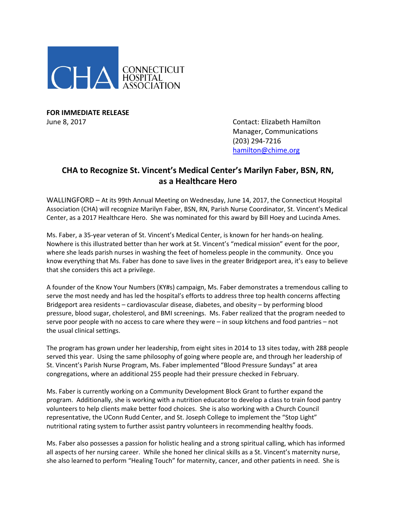

**FOR IMMEDIATE RELEASE**

June 8, 2017 Contact: Elizabeth Hamilton Manager, Communications (203) 294-7216 [hamilton@chime.org](mailto:hamilton@chime.org)

## **CHA to Recognize St. Vincent's Medical Center's Marilyn Faber, BSN, RN, as a Healthcare Hero**

WALLINGFORD – At its 99th Annual Meeting on Wednesday, June 14, 2017, the Connecticut Hospital Association (CHA) will recognize Marilyn Faber, BSN, RN, Parish Nurse Coordinator, St. Vincent's Medical Center, as a 2017 Healthcare Hero. She was nominated for this award by Bill Hoey and Lucinda Ames.

Ms. Faber, a 35-year veteran of St. Vincent's Medical Center, is known for her hands-on healing. Nowhere is this illustrated better than her work at St. Vincent's "medical mission" event for the poor, where she leads parish nurses in washing the feet of homeless people in the community. Once you know everything that Ms. Faber has done to save lives in the greater Bridgeport area, it's easy to believe that she considers this act a privilege.

A founder of the Know Your Numbers (KY#s) campaign, Ms. Faber demonstrates a tremendous calling to serve the most needy and has led the hospital's efforts to address three top health concerns affecting Bridgeport area residents – cardiovascular disease, diabetes, and obesity – by performing blood pressure, blood sugar, cholesterol, and BMI screenings. Ms. Faber realized that the program needed to serve poor people with no access to care where they were – in soup kitchens and food pantries – not the usual clinical settings.

The program has grown under her leadership, from eight sites in 2014 to 13 sites today, with 288 people served this year. Using the same philosophy of going where people are, and through her leadership of St. Vincent's Parish Nurse Program, Ms. Faber implemented "Blood Pressure Sundays" at area congregations, where an additional 255 people had their pressure checked in February.

Ms. Faber is currently working on a Community Development Block Grant to further expand the program. Additionally, she is working with a nutrition educator to develop a class to train food pantry volunteers to help clients make better food choices. She is also working with a Church Council representative, the UConn Rudd Center, and St. Joseph College to implement the "Stop Light" nutritional rating system to further assist pantry volunteers in recommending healthy foods.

Ms. Faber also possesses a passion for holistic healing and a strong spiritual calling, which has informed all aspects of her nursing career. While she honed her clinical skills as a St. Vincent's maternity nurse, she also learned to perform "Healing Touch" for maternity, cancer, and other patients in need. She is